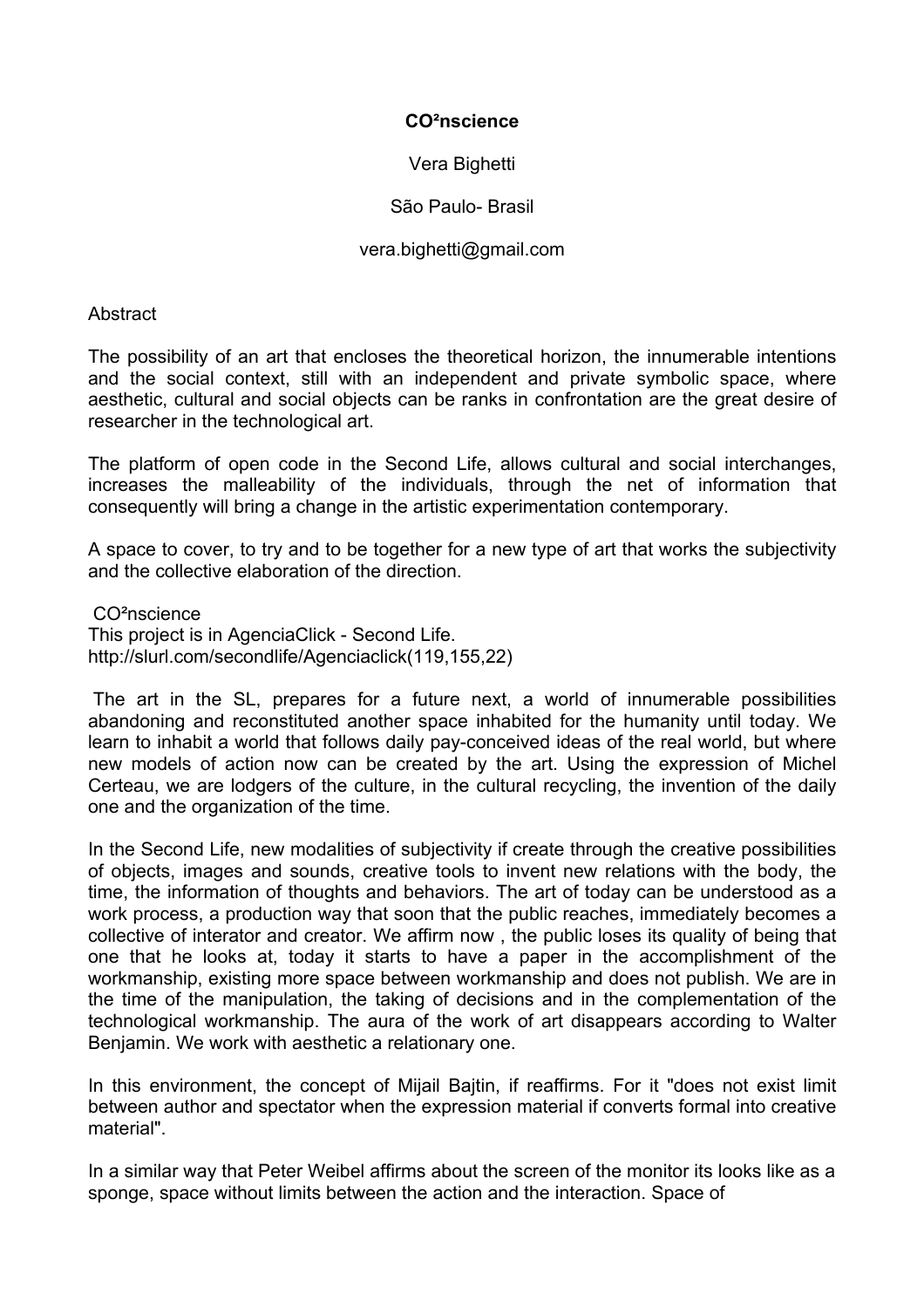# **CO²nscience**

Vera Bighetti

São Paulo- Brasil

## vera.bighetti@gmail.com

**Abstract** 

The possibility of an art that encloses the theoretical horizon, the innumerable intentions and the social context, still with an independent and private symbolic space, where aesthetic, cultural and social objects can be ranks in confrontation are the great desire of researcher in the technological art.

The platform of open code in the Second Life, allows cultural and social interchanges, increases the malleability of the individuals, through the net of information that consequently will bring a change in the artistic experimentation contemporary.

A space to cover, to try and to be together for a new type of art that works the subjectivity and the collective elaboration of the direction.

 CO²nscience This project is in AgenciaClick - Second Life. http://slurl.com/secondlife/Agenciaclick(119,155,22)

 The art in the SL, prepares for a future next, a world of innumerable possibilities abandoning and reconstituted another space inhabited for the humanity until today. We learn to inhabit a world that follows daily pay-conceived ideas of the real world, but where new models of action now can be created by the art. Using the expression of Michel Certeau, we are lodgers of the culture, in the cultural recycling, the invention of the daily one and the organization of the time.

In the Second Life, new modalities of subjectivity if create through the creative possibilities of objects, images and sounds, creative tools to invent new relations with the body, the time, the information of thoughts and behaviors. The art of today can be understood as a work process, a production way that soon that the public reaches, immediately becomes a collective of interator and creator. We affirm now , the public loses its quality of being that one that he looks at, today it starts to have a paper in the accomplishment of the workmanship, existing more space between workmanship and does not publish. We are in the time of the manipulation, the taking of decisions and in the complementation of the technological workmanship. The aura of the work of art disappears according to Walter Benjamin. We work with aesthetic a relationary one.

In this environment, the concept of Mijail Bajtin, if reaffirms. For it "does not exist limit between author and spectator when the expression material if converts formal into creative material".

In a similar way that Peter Weibel affirms about the screen of the monitor its looks like as a sponge, space without limits between the action and the interaction. Space of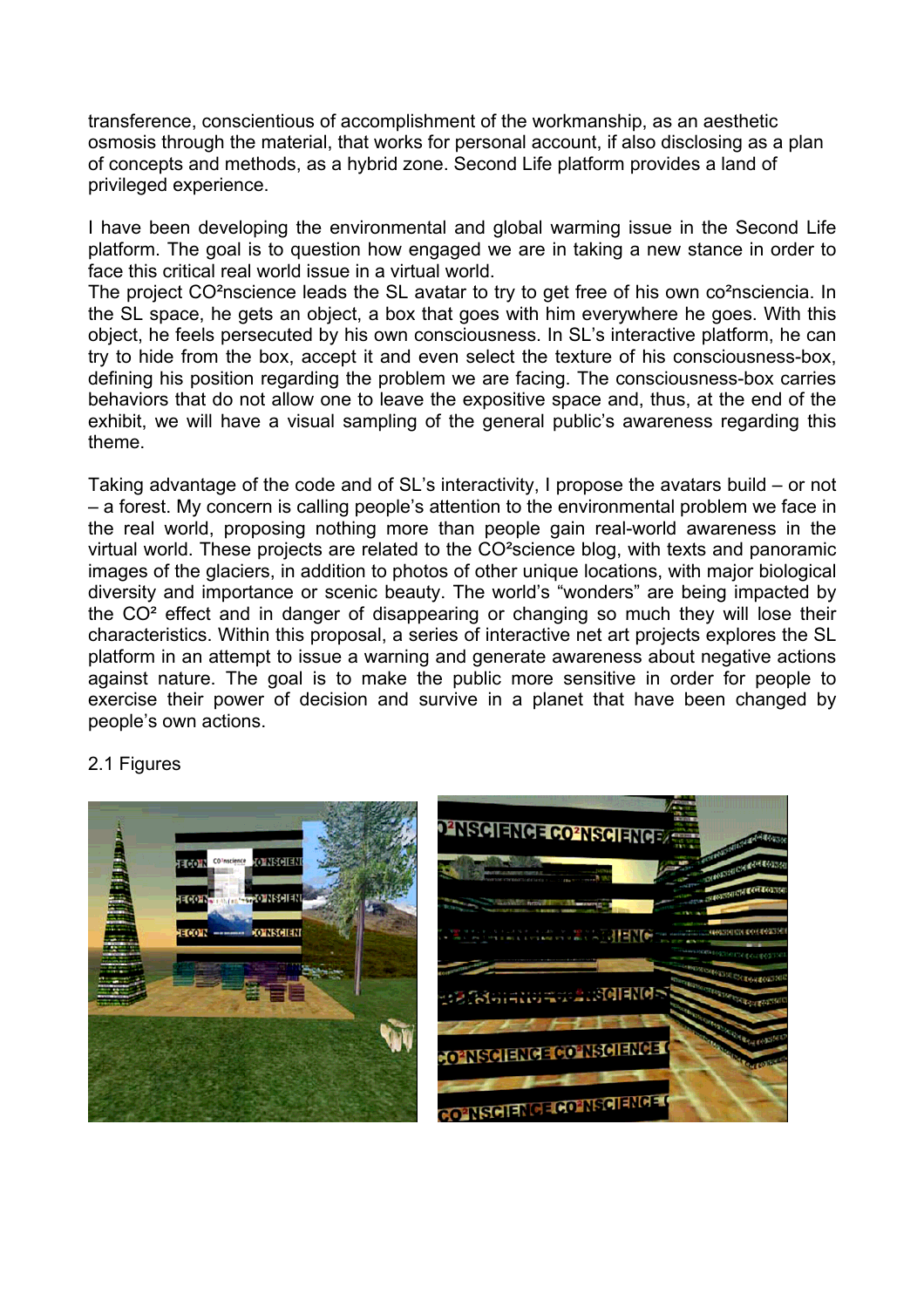transference, conscientious of accomplishment of the workmanship, as an aesthetic osmosis through the material, that works for personal account, if also disclosing as a plan of concepts and methods, as a hybrid zone. Second Life platform provides a land of privileged experience.

I have been developing the environmental and global warming issue in the Second Life platform. The goal is to question how engaged we are in taking a new stance in order to face this critical real world issue in a virtual world.

The project CO<sup>2</sup>nscience leads the SL avatar to try to get free of his own co<sup>2</sup>nsciencia. In the SL space, he gets an object, a box that goes with him everywhere he goes. With this object, he feels persecuted by his own consciousness. In SL's interactive platform, he can try to hide from the box, accept it and even select the texture of his consciousness-box, defining his position regarding the problem we are facing. The consciousness-box carries behaviors that do not allow one to leave the expositive space and, thus, at the end of the exhibit, we will have a visual sampling of the general public's awareness regarding this theme.

Taking advantage of the code and of SL's interactivity, I propose the avatars build – or not – a forest. My concern is calling people's attention to the environmental problem we face in the real world, proposing nothing more than people gain real-world awareness in the virtual world. These projects are related to the CO²science blog, with texts and panoramic images of the glaciers, in addition to photos of other unique locations, with major biological diversity and importance or scenic beauty. The world's "wonders" are being impacted by the CO² effect and in danger of disappearing or changing so much they will lose their characteristics. Within this proposal, a series of interactive net art projects explores the SL platform in an attempt to issue a warning and generate awareness about negative actions against nature. The goal is to make the public more sensitive in order for people to exercise their power of decision and survive in a planet that have been changed by people's own actions.

#### 2.1 Figures

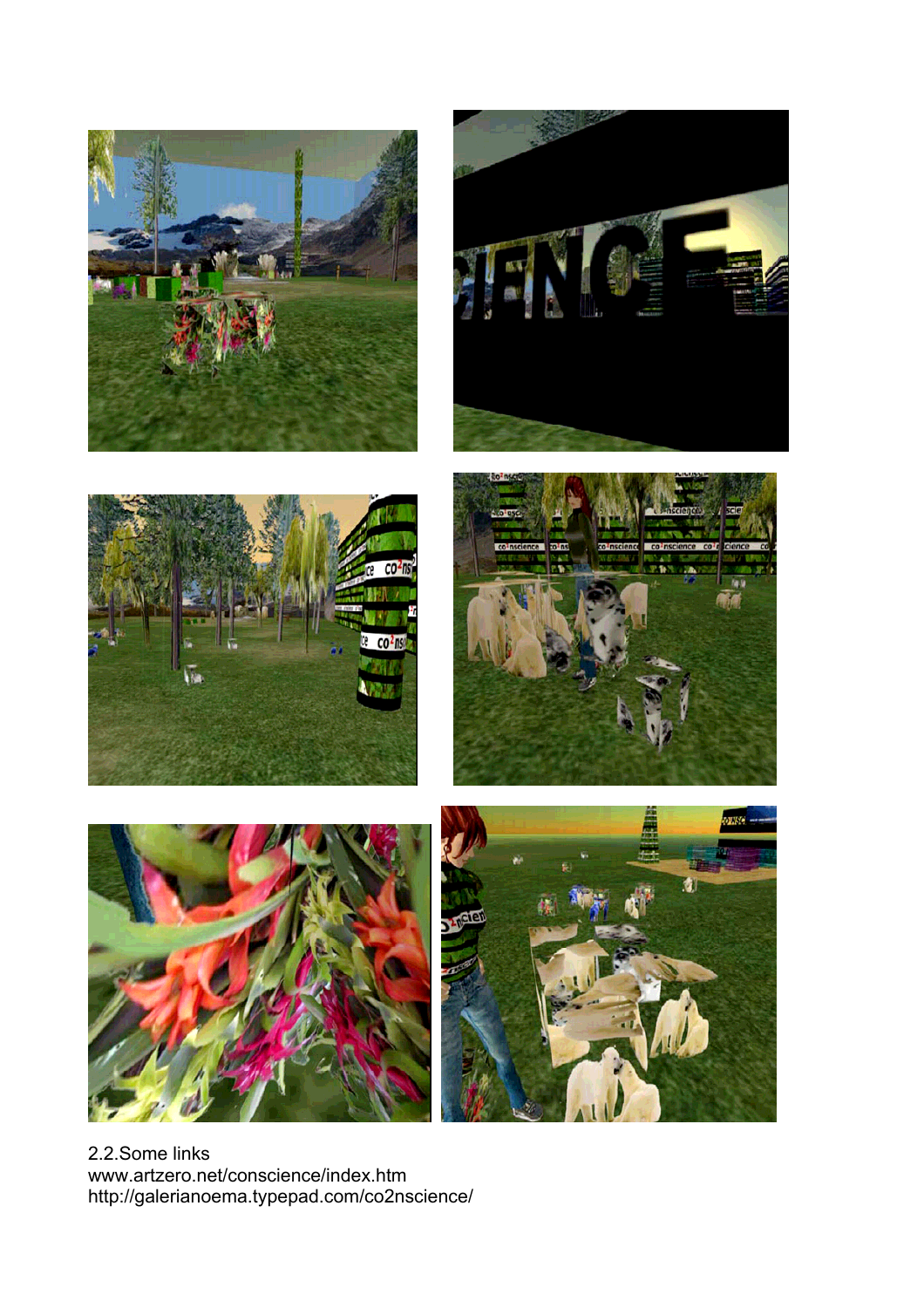











2.2.Some links www.artzero.net/conscience/index.htm http://galerianoema.typepad.com/co2nscience/